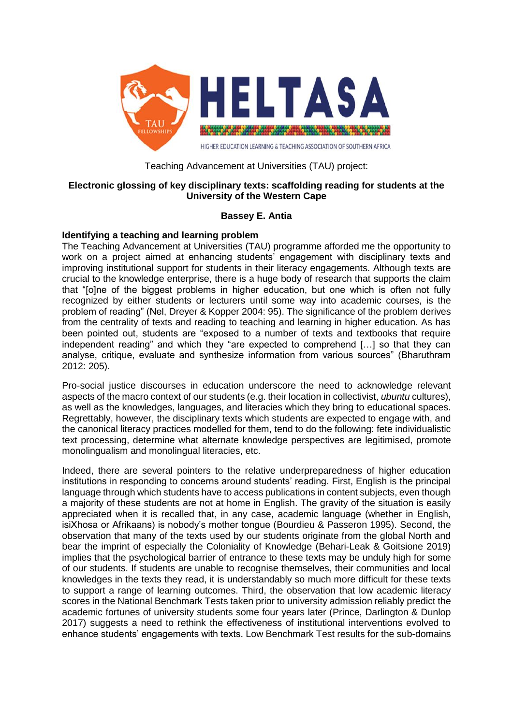

## Teaching Advancement at Universities (TAU) project:

# **Electronic glossing of key disciplinary texts: scaffolding reading for students at the University of the Western Cape**

# **Bassey E. Antia**

# **Identifying a teaching and learning problem**

The Teaching Advancement at Universities (TAU) programme afforded me the opportunity to work on a project aimed at enhancing students' engagement with disciplinary texts and improving institutional support for students in their literacy engagements. Although texts are crucial to the knowledge enterprise, there is a huge body of research that supports the claim that "[o]ne of the biggest problems in higher education, but one which is often not fully recognized by either students or lecturers until some way into academic courses, is the problem of reading" (Nel, Dreyer & Kopper 2004: 95). The significance of the problem derives from the centrality of texts and reading to teaching and learning in higher education. As has been pointed out, students are "exposed to a number of texts and textbooks that require independent reading" and which they "are expected to comprehend […] so that they can analyse, critique, evaluate and synthesize information from various sources" (Bharuthram 2012: 205).

Pro-social justice discourses in education underscore the need to acknowledge relevant aspects of the macro context of our students (e.g. their location in collectivist, *ubuntu* cultures), as well as the knowledges, languages, and literacies which they bring to educational spaces. Regrettably, however, the disciplinary texts which students are expected to engage with, and the canonical literacy practices modelled for them, tend to do the following: fete individualistic text processing, determine what alternate knowledge perspectives are legitimised, promote monolingualism and monolingual literacies, etc.

Indeed, there are several pointers to the relative underpreparedness of higher education institutions in responding to concerns around students' reading. First, English is the principal language through which students have to access publications in content subjects, even though a majority of these students are not at home in English. The gravity of the situation is easily appreciated when it is recalled that, in any case, academic language (whether in English, isiXhosa or Afrikaans) is nobody's mother tongue (Bourdieu & Passeron 1995). Second, the observation that many of the texts used by our students originate from the global North and bear the imprint of especially the Coloniality of Knowledge (Behari-Leak & Goitsione 2019) implies that the psychological barrier of entrance to these texts may be unduly high for some of our students. If students are unable to recognise themselves, their communities and local knowledges in the texts they read, it is understandably so much more difficult for these texts to support a range of learning outcomes. Third, the observation that low academic literacy scores in the National Benchmark Tests taken prior to university admission reliably predict the academic fortunes of university students some four years later (Prince, Darlington & Dunlop 2017) suggests a need to rethink the effectiveness of institutional interventions evolved to enhance students' engagements with texts. Low Benchmark Test results for the sub-domains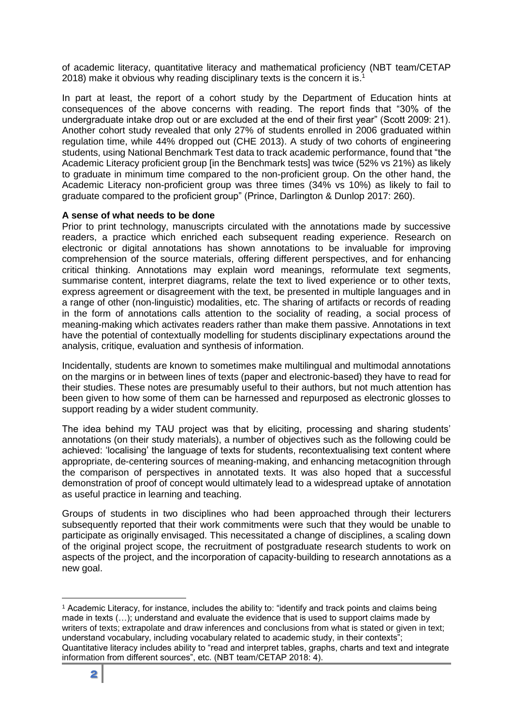of academic literacy, quantitative literacy and mathematical proficiency (NBT team/CETAP 2018) make it obvious why reading disciplinary texts is the concern it is.<sup>1</sup>

In part at least, the report of a cohort study by the Department of Education hints at consequences of the above concerns with reading. The report finds that "30% of the undergraduate intake drop out or are excluded at the end of their first year" (Scott 2009: 21). Another cohort study revealed that only 27% of students enrolled in 2006 graduated within regulation time, while 44% dropped out (CHE 2013). A study of two cohorts of engineering students, using National Benchmark Test data to track academic performance, found that "the Academic Literacy proficient group [in the Benchmark tests] was twice (52% vs 21%) as likely to graduate in minimum time compared to the non-proficient group. On the other hand, the Academic Literacy non-proficient group was three times (34% vs 10%) as likely to fail to graduate compared to the proficient group" (Prince, Darlington & Dunlop 2017: 260).

### **A sense of what needs to be done**

Prior to print technology, manuscripts circulated with the annotations made by successive readers, a practice which enriched each subsequent reading experience. Research on electronic or digital annotations has shown annotations to be invaluable for improving comprehension of the source materials, offering different perspectives, and for enhancing critical thinking. Annotations may explain word meanings, reformulate text segments, summarise content, interpret diagrams, relate the text to lived experience or to other texts, express agreement or disagreement with the text, be presented in multiple languages and in a range of other (non-linguistic) modalities, etc. The sharing of artifacts or records of reading in the form of annotations calls attention to the sociality of reading, a social process of meaning-making which activates readers rather than make them passive. Annotations in text have the potential of contextually modelling for students disciplinary expectations around the analysis, critique, evaluation and synthesis of information.

Incidentally, students are known to sometimes make multilingual and multimodal annotations on the margins or in between lines of texts (paper and electronic-based) they have to read for their studies. These notes are presumably useful to their authors, but not much attention has been given to how some of them can be harnessed and repurposed as electronic glosses to support reading by a wider student community.

The idea behind my TAU project was that by eliciting, processing and sharing students' annotations (on their study materials), a number of objectives such as the following could be achieved: 'localising' the language of texts for students, recontextualising text content where appropriate, de-centering sources of meaning-making, and enhancing metacognition through the comparison of perspectives in annotated texts. It was also hoped that a successful demonstration of proof of concept would ultimately lead to a widespread uptake of annotation as useful practice in learning and teaching.

Groups of students in two disciplines who had been approached through their lecturers subsequently reported that their work commitments were such that they would be unable to participate as originally envisaged. This necessitated a change of disciplines, a scaling down of the original project scope, the recruitment of postgraduate research students to work on aspects of the project, and the incorporation of capacity-building to research annotations as a new goal.

1

<sup>1</sup> Academic Literacy, for instance, includes the ability to: "identify and track points and claims being made in texts (…); understand and evaluate the evidence that is used to support claims made by writers of texts; extrapolate and draw inferences and conclusions from what is stated or given in text; understand vocabulary, including vocabulary related to academic study, in their contexts"; Quantitative literacy includes ability to "read and interpret tables, graphs, charts and text and integrate information from different sources", etc. (NBT team/CETAP 2018: 4).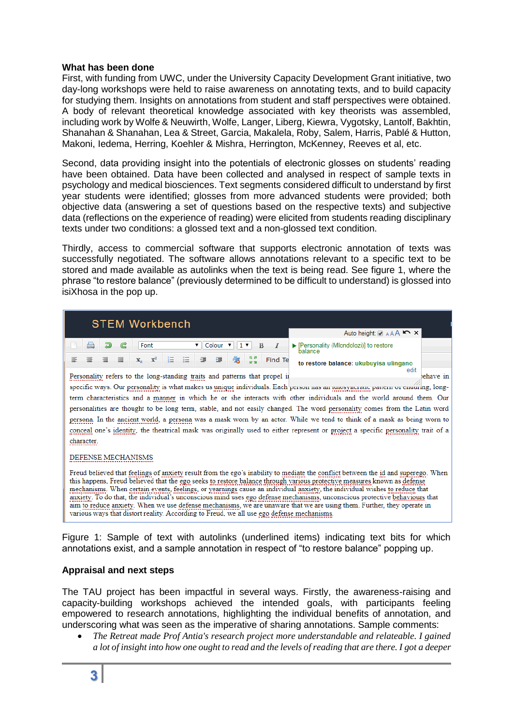## **What has been done**

First, with funding from UWC, under the University Capacity Development Grant initiative, two day-long workshops were held to raise awareness on annotating texts, and to build capacity for studying them. Insights on annotations from student and staff perspectives were obtained. A body of relevant theoretical knowledge associated with key theorists was assembled, including work by Wolfe & Neuwirth, Wolfe, Langer, Liberg, Kiewra, Vygotsky, Lantolf, Bakhtin, Shanahan & Shanahan, Lea & Street, Garcia, Makalela, Roby, Salem, Harris, Pablé & Hutton, Makoni, Iedema, Herring, Koehler & Mishra, Herrington, McKenney, Reeves et al, etc.

Second, data providing insight into the potentials of electronic glosses on students' reading have been obtained. Data have been collected and analysed in respect of sample texts in psychology and medical biosciences. Text segments considered difficult to understand by first year students were identified; glosses from more advanced students were provided; both objective data (answering a set of questions based on the respective texts) and subjective data (reflections on the experience of reading) were elicited from students reading disciplinary texts under two conditions: a glossed text and a non-glossed text condition.

Thirdly, access to commercial software that supports electronic annotation of texts was successfully negotiated. The software allows annotations relevant to a specific text to be stored and made available as autolinks when the text is being read. See figure 1, where the phrase "to restore balance" (previously determined to be difficult to understand) is glossed into isiXhosa in the pop up.

| <b>STEM Workbench</b>                                                                                                                                                                                                                                        |                                                             |
|--------------------------------------------------------------------------------------------------------------------------------------------------------------------------------------------------------------------------------------------------------------|-------------------------------------------------------------|
|                                                                                                                                                                                                                                                              | Auto height: AAA                                            |
| ව<br>$\mathbf{v}$    Colour $\mathbf{v}$  <br>Font<br>G<br>1 <sub>x</sub><br>в<br>馬界                                                                                                                                                                         | ▶ [Personality (Mlondolozi)] to restore<br>balance          |
| 缰<br>亖<br>辷<br>亖<br>$\mathbf{x}^2$<br>佳<br>匡<br>辷<br>亖<br>45<br>Find Te<br>$\mathbf{X}_2$<br>in ai<br>Personality refers to the long-standing traits and patterns that propel in                                                                             | to restore balance: ukubuyisa ulingano<br>edit<br>behave in |
| specific ways. Our personality is what makes us unique individuals. Each person nas an nonosyncranic panem or enouring, long-                                                                                                                                |                                                             |
| term characteristics and a manner in which he or she interacts with other individuals and the world around them. Our                                                                                                                                         |                                                             |
| personalities are thought to be long term, stable, and not easily changed. The word personality comes from the Latin word                                                                                                                                    |                                                             |
| persona. In the ancient world, a persona was a mask worn by an actor. While we tend to think of a mask as being worn to                                                                                                                                      |                                                             |
| conceal one's identity, the theatrical mask was originally used to either represent or project a specific personality trait of a                                                                                                                             |                                                             |
| character.                                                                                                                                                                                                                                                   |                                                             |
| DEFENSE MECHANISMS                                                                                                                                                                                                                                           |                                                             |
| Freud believed that feelings of anxiety result from the ego's inability to mediate the conflict between the id and superego. When<br>this happens. Freud believed that the ego seeks to restore balance through various protective measures known as defense |                                                             |

mechanisms. When certain events, feelings, or yearnings cause an individual anxiety, the individual wishes to reduce that anxiety. To do that, the individual's unconscious mind uses ego defense mechanisms, unconscious protective behaviours that aim to reduce anxiety. When we use defense mechanisms, we are unaware that we are using them. Further, they operate in various ways that distort reality. According to Freud, we all use ego defense mechanisms.

Figure 1: Sample of text with autolinks (underlined items) indicating text bits for which annotations exist, and a sample annotation in respect of "to restore balance" popping up.

# **Appraisal and next steps**

The TAU project has been impactful in several ways. Firstly, the awareness-raising and capacity-building workshops achieved the intended goals, with participants feeling empowered to research annotations, highlighting the individual benefits of annotation, and underscoring what was seen as the imperative of sharing annotations. Sample comments:

 *The Retreat made Prof Antia's research project more understandable and relateable. I gained a lot of insight into how one ought to read and the levels of reading that are there. I got a deeper*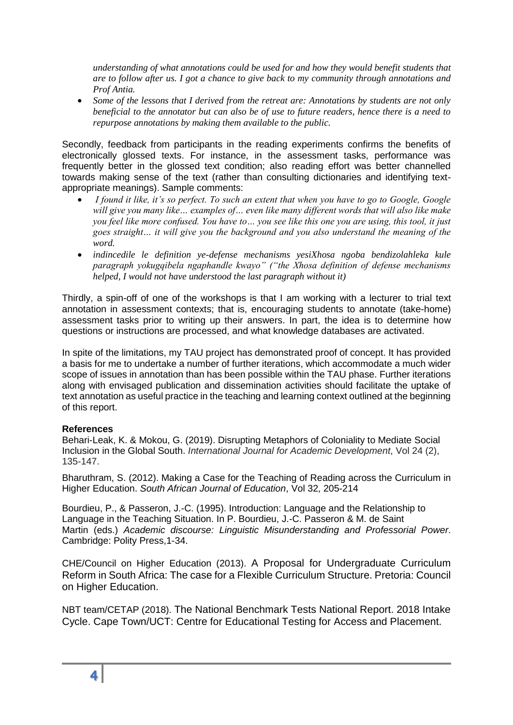*understanding of what annotations could be used for and how they would benefit students that are to follow after us. I got a chance to give back to my community through annotations and Prof Antia.*

 *Some of the lessons that I derived from the retreat are: Annotations by students are not only beneficial to the annotator but can also be of use to future readers, hence there is a need to repurpose annotations by making them available to the public.*

Secondly, feedback from participants in the reading experiments confirms the benefits of electronically glossed texts. For instance, in the assessment tasks, performance was frequently better in the glossed text condition; also reading effort was better channelled towards making sense of the text (rather than consulting dictionaries and identifying textappropriate meanings). Sample comments:

- *I found it like, it's so perfect. To such an extent that when you have to go to Google, Google will give you many like… examples of… even like many different words that will also like make you feel like more confused. You have to… you see like this one you are using, this tool, it just goes straight… it will give you the background and you also understand the meaning of the word.*
- *indincedile le definition ye-defense mechanisms yesiXhosa ngoba bendizolahleka kule paragraph yokugqibela ngaphandle kwayo" ("the Xhosa definition of defense mechanisms helped, I would not have understood the last paragraph without it)*

Thirdly, a spin-off of one of the workshops is that I am working with a lecturer to trial text annotation in assessment contexts; that is, encouraging students to annotate (take-home) assessment tasks prior to writing up their answers. In part, the idea is to determine how questions or instructions are processed, and what knowledge databases are activated.

In spite of the limitations, my TAU project has demonstrated proof of concept. It has provided a basis for me to undertake a number of further iterations, which accommodate a much wider scope of issues in annotation than has been possible within the TAU phase. Further iterations along with envisaged publication and dissemination activities should facilitate the uptake of text annotation as useful practice in the teaching and learning context outlined at the beginning of this report.

# **References**

Behari-Leak, K. & Mokou, G. (2019). Disrupting Metaphors of Coloniality to Mediate Social Inclusion in the Global South. *International Journal for Academic Development*, Vol 24 (2), 135-147.

Bharuthram, S. (2012). Making a Case for the Teaching of Reading across the Curriculum in Higher Education. *South African Journal of Education*, Vol 32, 205-214

Bourdieu, P., & Passeron, J.-C. (1995). Introduction: Language and the Relationship to Language in the Teaching Situation. In P. Bourdieu, J.-C. Passeron & M. de Saint Martin (eds.) *Academic discourse: Linguistic Misunderstanding and Professorial Power*. Cambridge: Polity Press,1-34.

CHE/Council on Higher Education (2013). A Proposal for Undergraduate Curriculum Reform in South Africa: The case for a Flexible Curriculum Structure. Pretoria: Council on Higher Education.

NBT team/CETAP (2018). The National Benchmark Tests National Report. 2018 Intake Cycle. Cape Town/UCT: Centre for Educational Testing for Access and Placement.